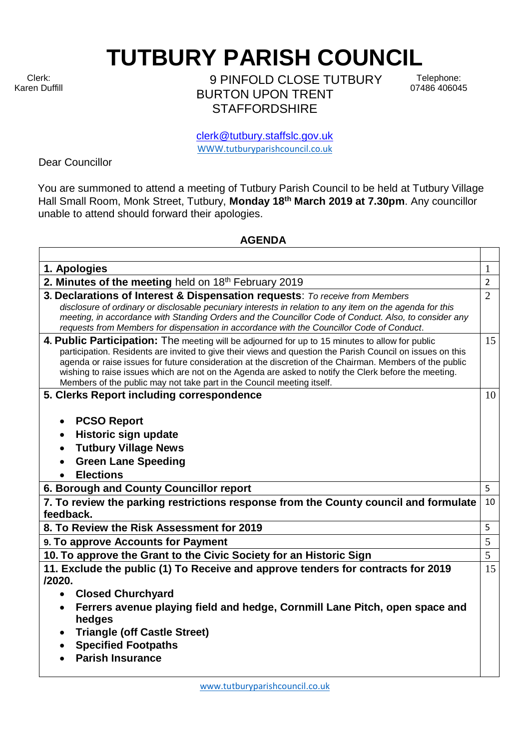Clerk: Karen Duffill **TUTBURY PARISH COUNCIL** 

9 PINFOLD CLOSE TUTBURY BURTON UPON TRENT **STAFFORDSHIRE** 

Telephone: 07486 406045

clerk@tutbury.staffslc.gov.uk [WWW.tutburyparishcouncil.co.uk](http://www.tutburyparishcouncil.co.uk/)

Dear Councillor

You are summoned to attend a meeting of Tutbury Parish Council to be held at Tutbury Village Hall Small Room, Monk Street, Tutbury, **Monday 18th March 2019 at 7.30pm**. Any councillor unable to attend should forward their apologies.

## **AGENDA**

| 1. Apologies                                                                                                                                                                                                                                                                                                                                                                                                                                                                                                 | 1              |
|--------------------------------------------------------------------------------------------------------------------------------------------------------------------------------------------------------------------------------------------------------------------------------------------------------------------------------------------------------------------------------------------------------------------------------------------------------------------------------------------------------------|----------------|
| 2. Minutes of the meeting held on 18th February 2019                                                                                                                                                                                                                                                                                                                                                                                                                                                         | $\overline{2}$ |
| 3. Declarations of Interest & Dispensation requests: To receive from Members<br>disclosure of ordinary or disclosable pecuniary interests in relation to any item on the agenda for this<br>meeting, in accordance with Standing Orders and the Councillor Code of Conduct. Also, to consider any<br>requests from Members for dispensation in accordance with the Councillor Code of Conduct.                                                                                                               | $\overline{2}$ |
| 4. Public Participation: The meeting will be adjourned for up to 15 minutes to allow for public<br>participation. Residents are invited to give their views and question the Parish Council on issues on this<br>agenda or raise issues for future consideration at the discretion of the Chairman. Members of the public<br>wishing to raise issues which are not on the Agenda are asked to notify the Clerk before the meeting.<br>Members of the public may not take part in the Council meeting itself. | 15             |
| 5. Clerks Report including correspondence                                                                                                                                                                                                                                                                                                                                                                                                                                                                    | 10             |
| <b>PCSO Report</b><br>$\bullet$<br>Historic sign update<br><b>Tutbury Village News</b><br><b>Green Lane Speeding</b><br><b>Elections</b>                                                                                                                                                                                                                                                                                                                                                                     |                |
| 6. Borough and County Councillor report                                                                                                                                                                                                                                                                                                                                                                                                                                                                      | 5              |
| 7. To review the parking restrictions response from the County council and formulate<br>feedback.                                                                                                                                                                                                                                                                                                                                                                                                            | 10             |
| 8. To Review the Risk Assessment for 2019                                                                                                                                                                                                                                                                                                                                                                                                                                                                    | 5              |
| 9. To approve Accounts for Payment                                                                                                                                                                                                                                                                                                                                                                                                                                                                           | 5              |
| 10. To approve the Grant to the Civic Society for an Historic Sign                                                                                                                                                                                                                                                                                                                                                                                                                                           | 5              |
| 11. Exclude the public (1) To Receive and approve tenders for contracts for 2019<br>/2020.<br><b>Closed Churchyard</b><br>$\bullet$<br>Ferrers avenue playing field and hedge, Cornmill Lane Pitch, open space and<br>hedges<br><b>Triangle (off Castle Street)</b><br><b>Specified Footpaths</b><br><b>Parish Insurance</b>                                                                                                                                                                                 | 15             |